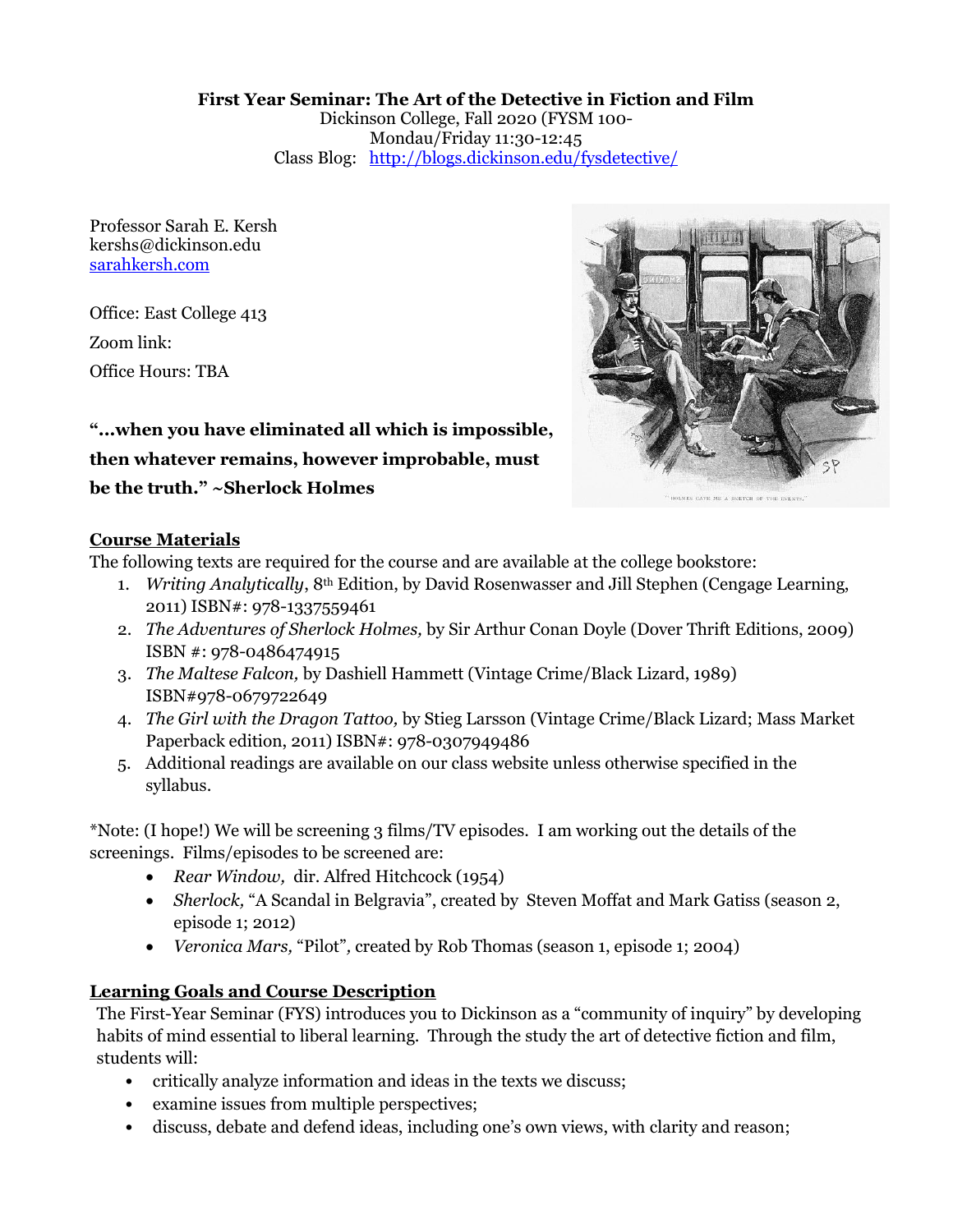#### First Year Seminar: The Art of the Detective in Fiction and Film

Dickinson College, Fall 2020 (FYSM 100- Mondau/Friday 11:30-12:45 Class Blog: http://blogs.dickinson.edu/fysdetective/

Professor Sarah E. Kersh kershs@dickinson.edu sarahkersh.com

Office: East College 413 Zoom link: Office Hours: TBA



# "...when you have eliminated all which is impossible,

# then whatever remains, however improbable, must

# be the truth." ~Sherlock Holmes

# Course Materials

The following texts are required for the course and are available at the college bookstore:

- 1. Writing Analytically, 8th Edition, by David Rosenwasser and Jill Stephen (Cengage Learning, 2011) ISBN#: 978-1337559461
- 2. The Adventures of Sherlock Holmes, by Sir Arthur Conan Doyle (Dover Thrift Editions, 2009) ISBN #: 978-0486474915
- 3. The Maltese Falcon, by Dashiell Hammett (Vintage Crime/Black Lizard, 1989) ISBN#978-0679722649
- 4. The Girl with the Dragon Tattoo, by Stieg Larsson (Vintage Crime/Black Lizard; Mass Market Paperback edition, 2011) ISBN#: 978-0307949486
- 5. Additional readings are available on our class website unless otherwise specified in the syllabus.

\*Note: (I hope!) We will be screening 3 films/TV episodes. I am working out the details of the screenings. Films/episodes to be screened are:

- Rear Window, dir. Alfred Hitchcock (1954)
- Sherlock, "A Scandal in Belgravia", created by Steven Moffat and Mark Gatiss (season 2, episode 1; 2012)
- Veronica Mars, "Pilot", created by Rob Thomas (season 1, episode 1; 2004)

# Learning Goals and Course Description

The First-Year Seminar (FYS) introduces you to Dickinson as a "community of inquiry" by developing habits of mind essential to liberal learning. Through the study the art of detective fiction and film, students will:

- critically analyze information and ideas in the texts we discuss;
- examine issues from multiple perspectives;
- discuss, debate and defend ideas, including one's own views, with clarity and reason;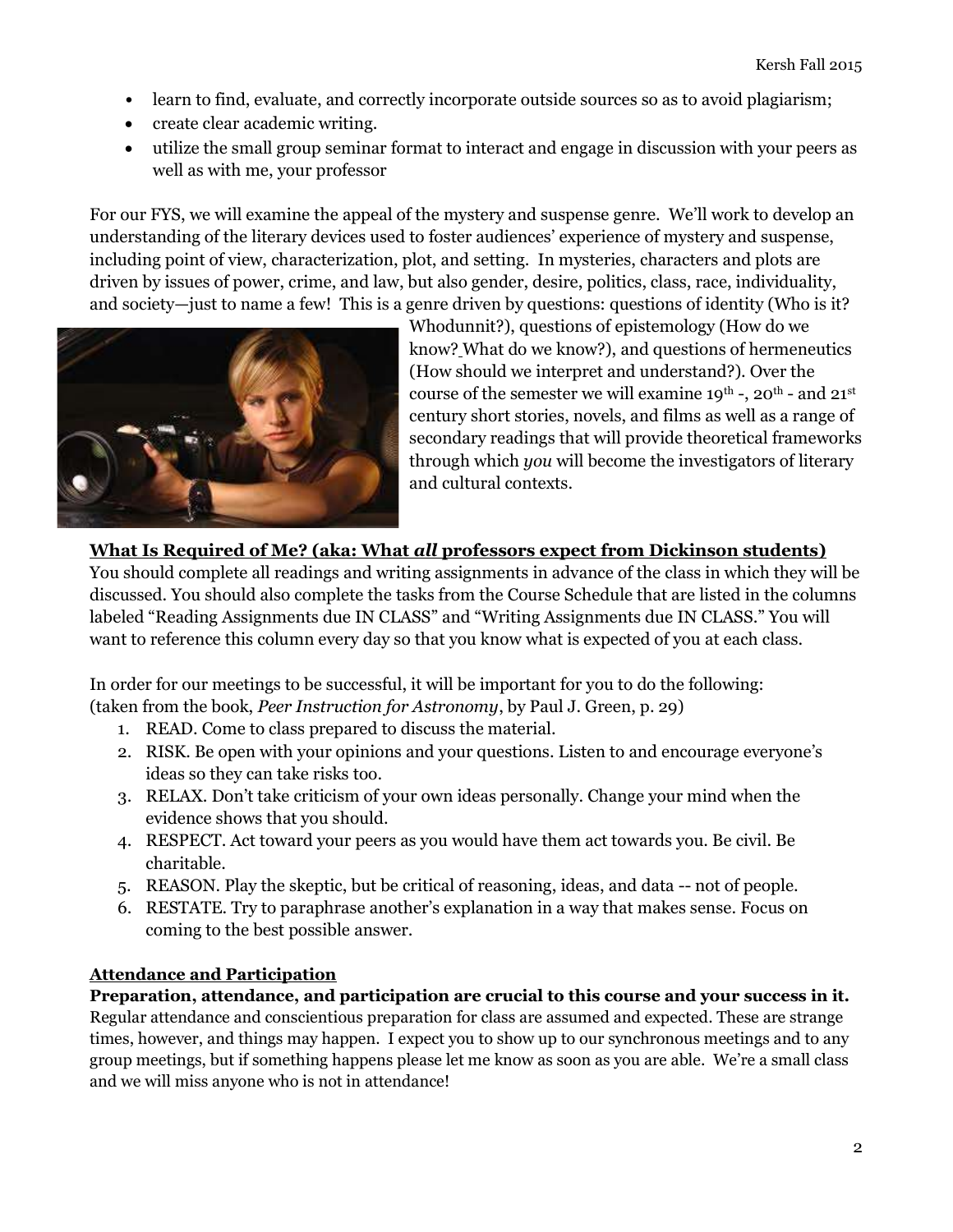- learn to find, evaluate, and correctly incorporate outside sources so as to avoid plagiarism;
- create clear academic writing.
- utilize the small group seminar format to interact and engage in discussion with your peers as well as with me, your professor

For our FYS, we will examine the appeal of the mystery and suspense genre. We'll work to develop an understanding of the literary devices used to foster audiences' experience of mystery and suspense, including point of view, characterization, plot, and setting. In mysteries, characters and plots are driven by issues of power, crime, and law, but also gender, desire, politics, class, race, individuality, and society—just to name a few! This is a genre driven by questions: questions of identity (Who is it?



Whodunnit?), questions of epistemology (How do we know? What do we know?), and questions of hermeneutics (How should we interpret and understand?). Over the course of the semester we will examine  $19^{th}$  -,  $20^{th}$  - and  $21^{st}$ century short stories, novels, and films as well as a range of secondary readings that will provide theoretical frameworks through which you will become the investigators of literary and cultural contexts.

# What Is Required of Me? (aka: What all professors expect from Dickinson students)

You should complete all readings and writing assignments in advance of the class in which they will be discussed. You should also complete the tasks from the Course Schedule that are listed in the columns labeled "Reading Assignments due IN CLASS" and "Writing Assignments due IN CLASS." You will want to reference this column every day so that you know what is expected of you at each class.

In order for our meetings to be successful, it will be important for you to do the following: (taken from the book, Peer Instruction for Astronomy, by Paul J. Green, p. 29)

- 1. READ. Come to class prepared to discuss the material.
- 2. RISK. Be open with your opinions and your questions. Listen to and encourage everyone's ideas so they can take risks too.
- 3. RELAX. Don't take criticism of your own ideas personally. Change your mind when the evidence shows that you should.
- 4. RESPECT. Act toward your peers as you would have them act towards you. Be civil. Be charitable.
- 5. REASON. Play the skeptic, but be critical of reasoning, ideas, and data -- not of people.
- 6. RESTATE. Try to paraphrase another's explanation in a way that makes sense. Focus on coming to the best possible answer.

#### Attendance and Participation

Preparation, attendance, and participation are crucial to this course and your success in it. Regular attendance and conscientious preparation for class are assumed and expected. These are strange times, however, and things may happen. I expect you to show up to our synchronous meetings and to any group meetings, but if something happens please let me know as soon as you are able. We're a small class and we will miss anyone who is not in attendance!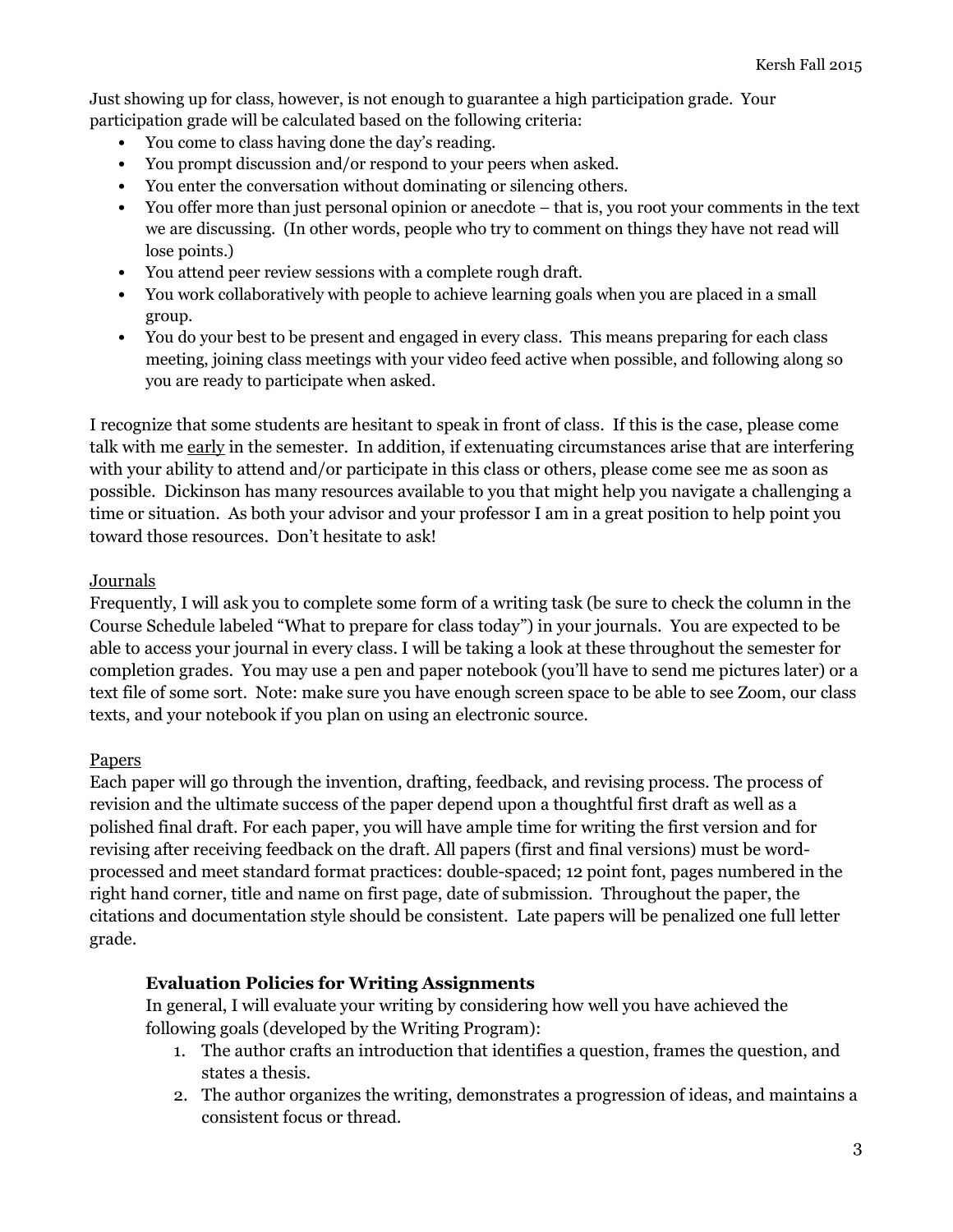Just showing up for class, however, is not enough to guarantee a high participation grade. Your participation grade will be calculated based on the following criteria:

- You come to class having done the day's reading.
- You prompt discussion and/or respond to your peers when asked.
- You enter the conversation without dominating or silencing others.
- You offer more than just personal opinion or anecdote that is, you root your comments in the text we are discussing. (In other words, people who try to comment on things they have not read will lose points.)
- You attend peer review sessions with a complete rough draft.
- You work collaboratively with people to achieve learning goals when you are placed in a small group.
- You do your best to be present and engaged in every class. This means preparing for each class meeting, joining class meetings with your video feed active when possible, and following along so you are ready to participate when asked.

I recognize that some students are hesitant to speak in front of class. If this is the case, please come talk with me early in the semester. In addition, if extenuating circumstances arise that are interfering with your ability to attend and/or participate in this class or others, please come see me as soon as possible. Dickinson has many resources available to you that might help you navigate a challenging a time or situation. As both your advisor and your professor I am in a great position to help point you toward those resources. Don't hesitate to ask!

# Journals

Frequently, I will ask you to complete some form of a writing task (be sure to check the column in the Course Schedule labeled "What to prepare for class today") in your journals. You are expected to be able to access your journal in every class. I will be taking a look at these throughout the semester for completion grades. You may use a pen and paper notebook (you'll have to send me pictures later) or a text file of some sort. Note: make sure you have enough screen space to be able to see Zoom, our class texts, and your notebook if you plan on using an electronic source.

# Papers

Each paper will go through the invention, drafting, feedback, and revising process. The process of revision and the ultimate success of the paper depend upon a thoughtful first draft as well as a polished final draft. For each paper, you will have ample time for writing the first version and for revising after receiving feedback on the draft. All papers (first and final versions) must be wordprocessed and meet standard format practices: double-spaced; 12 point font, pages numbered in the right hand corner, title and name on first page, date of submission. Throughout the paper, the citations and documentation style should be consistent. Late papers will be penalized one full letter grade.

# Evaluation Policies for Writing Assignments

In general, I will evaluate your writing by considering how well you have achieved the following goals (developed by the Writing Program):

- 1. The author crafts an introduction that identifies a question, frames the question, and states a thesis.
- 2. The author organizes the writing, demonstrates a progression of ideas, and maintains a consistent focus or thread.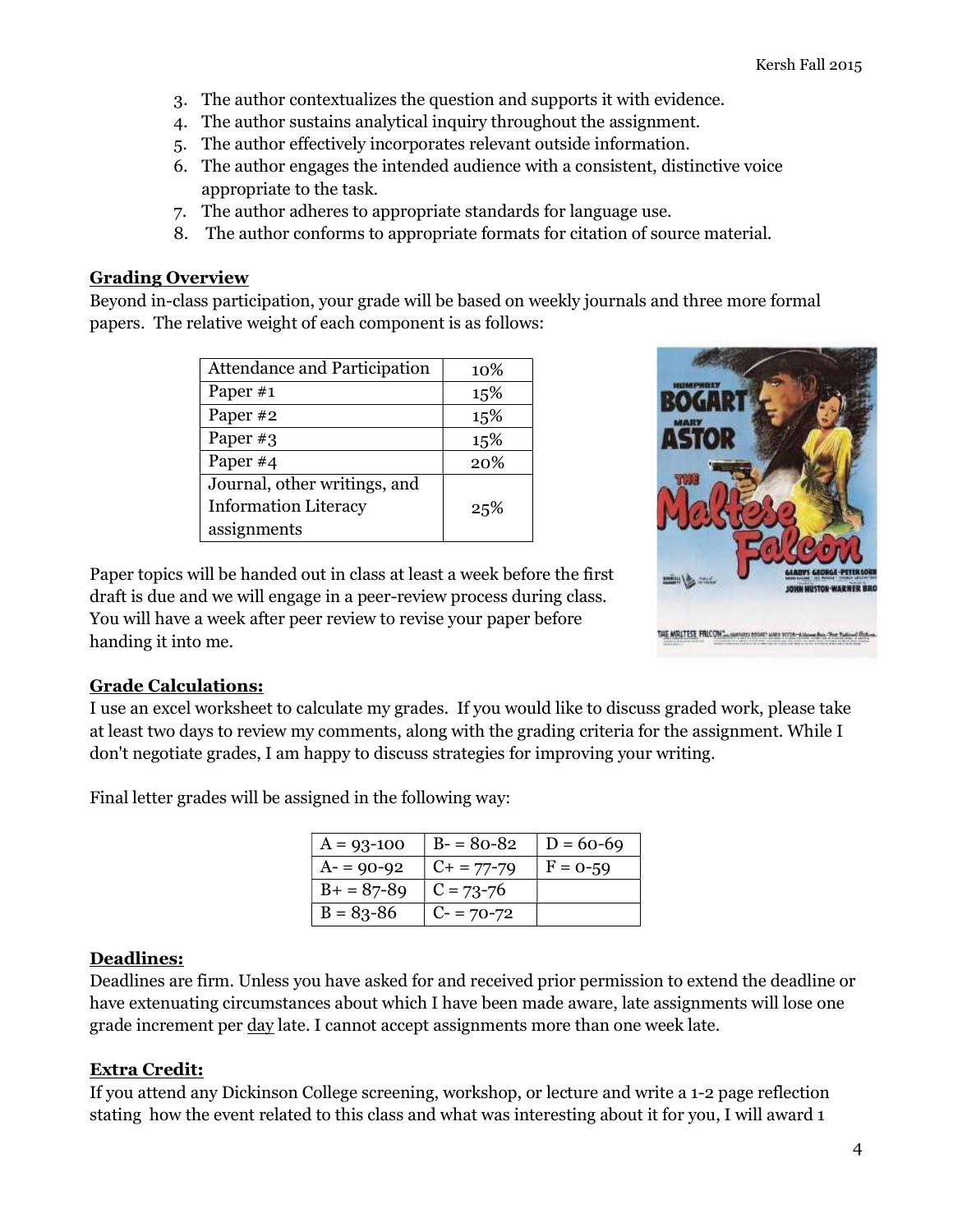- 3. The author contextualizes the question and supports it with evidence.
- 4. The author sustains analytical inquiry throughout the assignment.
- 5. The author effectively incorporates relevant outside information.
- 6. The author engages the intended audience with a consistent, distinctive voice appropriate to the task.
- 7. The author adheres to appropriate standards for language use.
- 8. The author conforms to appropriate formats for citation of source material.

#### Grading Overview

Beyond in-class participation, your grade will be based on weekly journals and three more formal papers. The relative weight of each component is as follows:

| Attendance and Participation | 10% |
|------------------------------|-----|
| Paper #1                     | 15% |
| Paper #2                     | 15% |
| Paper #3                     | 15% |
| Paper #4                     | 20% |
| Journal, other writings, and |     |
| <b>Information Literacy</b>  | 25% |
| assignments                  |     |

Paper topics will be handed out in class at least a week before the first draft is due and we will engage in a peer-review process during class. You will have a week after peer review to revise your paper before handing it into me.



#### Grade Calculations:

I use an excel worksheet to calculate my grades. If you would like to discuss graded work, please take at least two days to review my comments, along with the grading criteria for the assignment. While I don't negotiate grades, I am happy to discuss strategies for improving your writing.

Final letter grades will be assigned in the following way:

| $A = 93 - 100$ | $B - 80 - 82$   | $D = 60-69$ |
|----------------|-----------------|-------------|
| $A = 90 - 92$  | $C_{+}$ = 77-79 | $F = 0-59$  |
| $B+ = 87-89$   | $C = 73 - 76$   |             |
| $B = 83 - 86$  | $C = 70-72$     |             |

#### Deadlines:

Deadlines are firm. Unless you have asked for and received prior permission to extend the deadline or have extenuating circumstances about which I have been made aware, late assignments will lose one grade increment per day late. I cannot accept assignments more than one week late.

#### Extra Credit:

If you attend any Dickinson College screening, workshop, or lecture and write a 1-2 page reflection stating how the event related to this class and what was interesting about it for you, I will award 1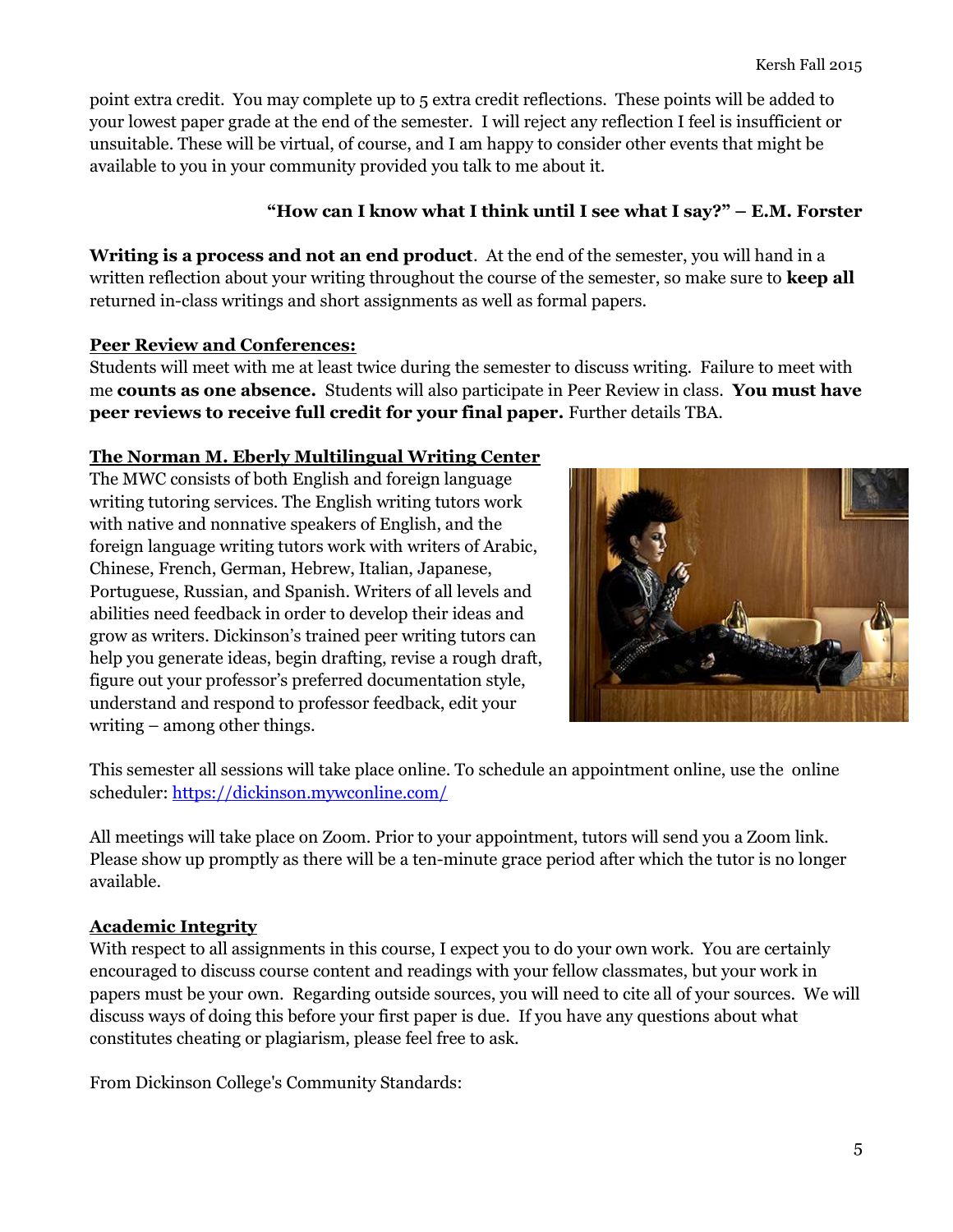point extra credit. You may complete up to 5 extra credit reflections. These points will be added to your lowest paper grade at the end of the semester. I will reject any reflection I feel is insufficient or unsuitable. These will be virtual, of course, and I am happy to consider other events that might be available to you in your community provided you talk to me about it.

# "How can I know what I think until I see what I say?"  $-$  E.M. Forster

Writing is a process and not an end product. At the end of the semester, you will hand in a written reflection about your writing throughout the course of the semester, so make sure to **keep all** returned in-class writings and short assignments as well as formal papers.

# Peer Review and Conferences:

Students will meet with me at least twice during the semester to discuss writing. Failure to meet with me counts as one absence. Students will also participate in Peer Review in class. You must have peer reviews to receive full credit for your final paper. Further details TBA.

# The Norman M. Eberly Multilingual Writing Center

The MWC consists of both English and foreign language writing tutoring services. The English writing tutors work with native and nonnative speakers of English, and the foreign language writing tutors work with writers of Arabic, Chinese, French, German, Hebrew, Italian, Japanese, Portuguese, Russian, and Spanish. Writers of all levels and abilities need feedback in order to develop their ideas and grow as writers. Dickinson's trained peer writing tutors can help you generate ideas, begin drafting, revise a rough draft, figure out your professor's preferred documentation style, understand and respond to professor feedback, edit your writing – among other things.



This semester all sessions will take place online. To schedule an appointment online, use the online scheduler: https://dickinson.mywconline.com/

All meetings will take place on Zoom. Prior to your appointment, tutors will send you a Zoom link. Please show up promptly as there will be a ten-minute grace period after which the tutor is no longer available.

# Academic Integrity

With respect to all assignments in this course, I expect you to do your own work. You are certainly encouraged to discuss course content and readings with your fellow classmates, but your work in papers must be your own. Regarding outside sources, you will need to cite all of your sources. We will discuss ways of doing this before your first paper is due. If you have any questions about what constitutes cheating or plagiarism, please feel free to ask.

From Dickinson College's Community Standards: